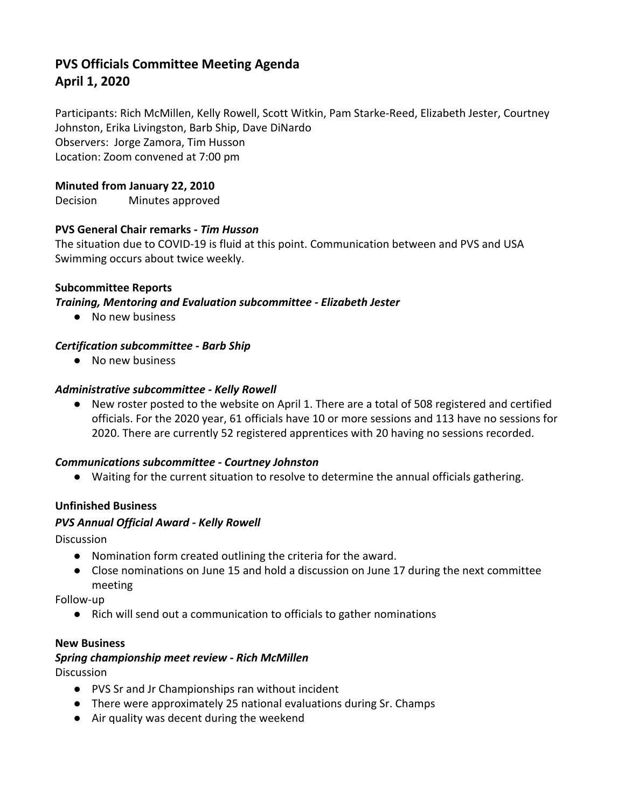# **PVS Officials Committee Meeting Agenda April 1, 2020**

Participants: Rich McMillen, Kelly Rowell, Scott Witkin, Pam Starke-Reed, Elizabeth Jester, Courtney Johnston, Erika Livingston, Barb Ship, Dave DiNardo Observers: Jorge Zamora, Tim Husson Location: Zoom convened at 7:00 pm

# **Minuted from January 22, 2010**

Decision Minutes approved

# **PVS General Chair remarks -** *Tim Husson*

The situation due to COVID-19 is fluid at this point. Communication between and PVS and USA Swimming occurs about twice weekly.

### **Subcommittee Reports**

#### *Training, Mentoring and Evaluation subcommittee - Elizabeth Jester*

● No new business

### *Certification subcommittee - Barb Ship*

● No new business

#### *Administrative subcommittee - Kelly Rowell*

● New roster posted to the website on April 1. There are a total of 508 registered and certified officials. For the 2020 year, 61 officials have 10 or more sessions and 113 have no sessions for 2020. There are currently 52 registered apprentices with 20 having no sessions recorded.

### *Communications subcommittee - Courtney Johnston*

● Waiting for the current situation to resolve to determine the annual officials gathering.

# **Unfinished Business**

#### *PVS Annual Official Award - Kelly Rowell*

**Discussion** 

- Nomination form created outlining the criteria for the award.
- Close nominations on June 15 and hold a discussion on June 17 during the next committee meeting

Follow-up

● Rich will send out a communication to officials to gather nominations

#### **New Business**

#### *Spring championship meet review - Rich McMillen*

Discussion

- PVS Sr and Jr Championships ran without incident
- There were approximately 25 national evaluations during Sr. Champs
- Air quality was decent during the weekend